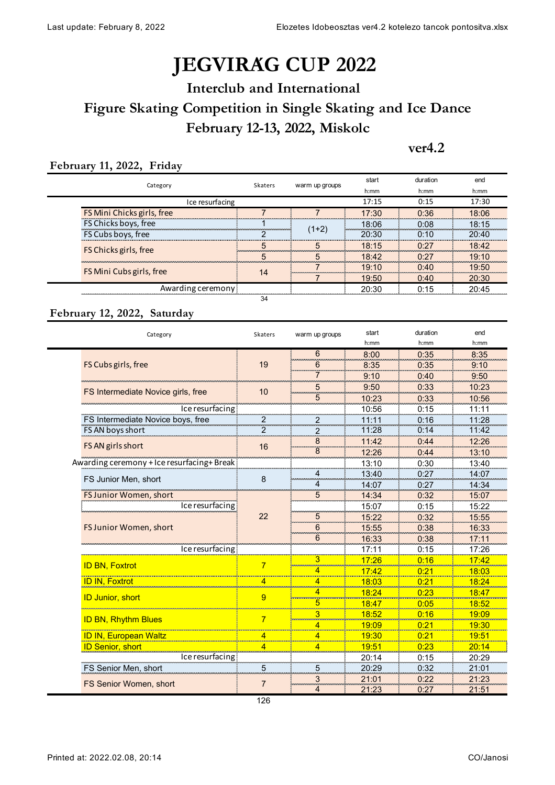## **JÉGVIRÁG CUP 2022**

## **February 12-13, 2022, Miskolc Interclub and International Figure Skating Competition in Single Skating and Ice Dance**

#### **ver4.2**

#### **February 11, 2022, Friday**

| Category                   | Skaters          | warm up groups | start | duration          | end   |  |
|----------------------------|------------------|----------------|-------|-------------------|-------|--|
|                            |                  |                | h:mm  | h:mm              | h:mm  |  |
| Ice resurfacing            |                  |                |       | 0:15              | 17:30 |  |
| FS Mini Chicks girls, free |                  |                | 17:30 | 0:36              | 18:06 |  |
| FS Chicks boys, free       |                  | (1+2)          | 18:06 | 0 <sup>.</sup> 08 | 18:15 |  |
| FS Cubs boys, free         |                  |                | 20:30 | 0.10              | 20:40 |  |
| FS Chicks girls, free      | inananananananan |                | 18:15 | 0.27              | 18:42 |  |
|                            |                  |                | 18:42 | ∩∙27              | 19:10 |  |
| FS Mini Cubs girls, free   | 14               |                | 19.10 | ∩∙⊿∩              | 19:50 |  |
|                            |                  |                | 19:50 | 0:40              | 20:30 |  |
| Awarding ceremony:         |                  |                | 20:30 | 0.15              | 20:45 |  |
|                            |                  |                |       |                   |       |  |

#### **February 12, 2022, Saturday**

| Category                                   | Skaters        | warm up groups          | start    | duration | end          |
|--------------------------------------------|----------------|-------------------------|----------|----------|--------------|
|                                            |                |                         | $h$ : mm | h:mm     | h:mm         |
| FS Cubs girls, free                        | 19             | 6                       | 8:00     | 0:35     | 8:35         |
|                                            |                | 6                       | 8:35     | 0:35     | 9:10         |
|                                            |                |                         | 9:10     | 0:40     | 9:50         |
| FS Intermediate Novice girls, free         | 10             | 5                       | 9:50     | 0:33     | 10:23        |
|                                            |                | 00000<br>5              | 10:23    | 0:33     | 10:56        |
| Ice resurfacing<br>                        |                |                         | 10:56    | 0:15     | 11:11        |
| FS Intermediate Novice boys, free          | 2              | $\overline{\mathbf{c}}$ | 11:11    | 0:16     | 11:28        |
| FS AN boys short                           | 2              | $\overline{2}$          | 11:28    | 0:14     | 11:42        |
| FS AN girls short                          |                | 8                       | 11:42    | 0:44     | 12:26        |
|                                            | 16             | $\overline{8}$          | 12:26    | 0:44     | 13:10        |
| Awarding ceremony + Ice resurfacing+ Break |                |                         | 13:10    | 0:30     | 13:40        |
| FS Junior Men, short                       | 8              |                         | 13:40    | 0:27     | 14:07        |
|                                            |                |                         | 14:07    | 0:27     | 14:34        |
| FS Junior Women, short                     |                | 5                       | 14:34    | 0:32     | 15:07        |
| Ice resurfacing                            |                |                         | 15:07    | 0:15     | 15:22        |
|                                            | 22             | 5                       | 15:22    | 0:32     | 15:55        |
| FS Junior Women, short                     |                | 6                       | 15:55    | 0:38     | 16:33        |
|                                            |                | 6                       | 16:33    | 0:38     | 17:11        |
| ce resurfacing                             |                |                         | 17:11    | 0:15     | 17:26        |
| <b>ID BN, Foxtrot</b>                      | 7              |                         | 17:26    | 0:16     | <u>17:42</u> |
|                                            |                |                         | 17:42    | 0:21     | 18:03        |
| <b>ID IN, Foxtrot</b>                      | $\overline{4}$ |                         | 18:03    | 0:21     | 18:24        |
|                                            | 9              |                         | 18:24    | 0:23     | 18:47        |
| <b>ID Junior, short</b>                    |                | 5                       | 18:47    | 0:05     | 18:52        |
|                                            | $\overline{7}$ |                         | 18:52    | 0:16     | 19:09        |
| <b>ID BN, Rhythm Blues</b>                 |                |                         | 19:09    | 0:21     | 19:30        |
| <b>ID IN, European Waltz</b>               | $\overline{4}$ | 4                       | 19:30    | 0:21     | 19:51        |
| <b>ID Senior, short</b>                    | $\overline{4}$ | 4                       | 19:51    | 0:23     | 20:14        |
| Ice resurfacing<br>                        |                |                         | 20:14    | 0:15     | 20:29        |
| <b>FS Senior Men, short</b>                | 5              | 5                       | 20:29    | 0:32     | 21:01        |
| FS Senior Women, short                     | 7              | 3                       | 21:01    | 0:22     | 21:23        |
|                                            |                | 4                       | 21:23    | 0:27     | 21:51        |